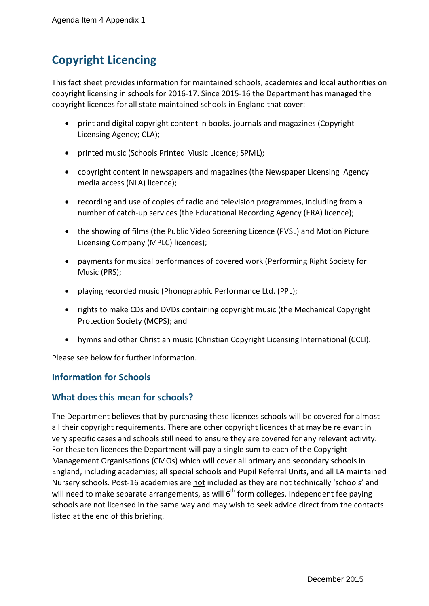# **Copyright Licencing**

This fact sheet provides information for maintained schools, academies and local authorities on copyright licensing in schools for 2016-17. Since 2015-16 the Department has managed the copyright licences for all state maintained schools in England that cover:

- print and digital copyright content in books, journals and magazines (Copyright Licensing Agency; CLA);
- printed music (Schools Printed Music Licence; SPML);
- copyright content in newspapers and magazines (the Newspaper Licensing Agency media access (NLA) licence);
- recording and use of copies of radio and television programmes, including from a number of catch-up services (the Educational Recording Agency (ERA) licence);
- the showing of films (the Public Video Screening Licence (PVSL) and Motion Picture Licensing Company (MPLC) licences);
- payments for musical performances of covered work (Performing Right Society for Music (PRS);
- playing recorded music (Phonographic Performance Ltd. (PPL);
- rights to make CDs and DVDs containing copyright music (the Mechanical Copyright Protection Society (MCPS); and
- hymns and other Christian music (Christian Copyright Licensing International (CCLI).

Please see below for further information.

## **Information for Schools**

## **What does this mean for schools?**

The Department believes that by purchasing these licences schools will be covered for almost all their copyright requirements. There are other copyright licences that may be relevant in very specific cases and schools still need to ensure they are covered for any relevant activity. For these ten licences the Department will pay a single sum to each of the Copyright Management Organisations (CMOs) which will cover all primary and secondary schools in England, including academies; all special schools and Pupil Referral Units, and all LA maintained Nursery schools. Post-16 academies are not included as they are not technically 'schools' and will need to make separate arrangements, as will  $6<sup>th</sup>$  form colleges. Independent fee paying schools are not licensed in the same way and may wish to seek advice direct from the contacts listed at the end of this briefing.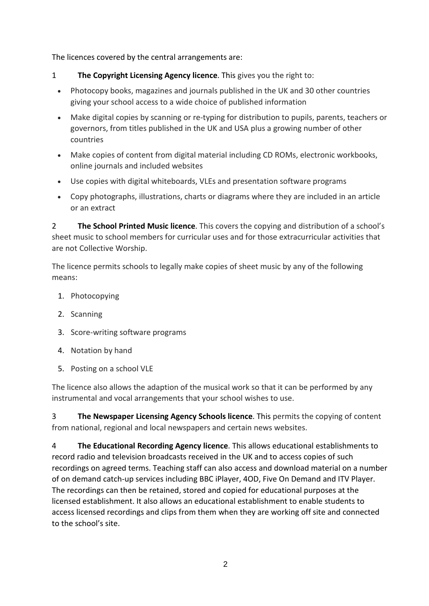The licences covered by the central arrangements are:

- 1 **The Copyright Licensing Agency licence**. This gives you the right to:
	- Photocopy books, magazines and journals published in the UK and 30 other countries giving your school access to a wide choice of published information
	- Make digital copies by scanning or re-typing for distribution to pupils, parents, teachers or governors, from titles published in the UK and USA plus a growing number of other countries
	- Make copies of content from digital material including CD ROMs, electronic workbooks, online journals and included websites
	- Use copies with digital whiteboards, VLEs and presentation software programs
	- Copy photographs, illustrations, charts or diagrams where they are included in an article or an extract

2 **The School Printed Music licence**. This covers the copying and distribution of a school's sheet music to school members for curricular uses and for those extracurricular activities that are not Collective Worship.

The licence permits schools to legally make copies of sheet music by any of the following means:

- 1. Photocopying
- 2. Scanning
- 3. Score-writing software programs
- 4. Notation by hand
- 5. Posting on a school VLE

The licence also allows the adaption of the musical work so that it can be performed by any instrumental and vocal arrangements that your school wishes to use.

3 **The Newspaper Licensing Agency Schools licence**. This permits the copying of content from national, regional and local newspapers and certain news websites.

4 **The Educational Recording Agency licence**. This allows educational establishments to record radio and television broadcasts received in the UK and to access copies of such recordings on agreed terms. Teaching staff can also access and download material on a number of on demand catch-up services including BBC iPlayer, 4OD, Five On Demand and ITV Player. The recordings can then be retained, stored and copied for educational purposes at the licensed establishment. It also allows an educational establishment to enable students to access licensed recordings and clips from them when they are working off site and connected to the school's site.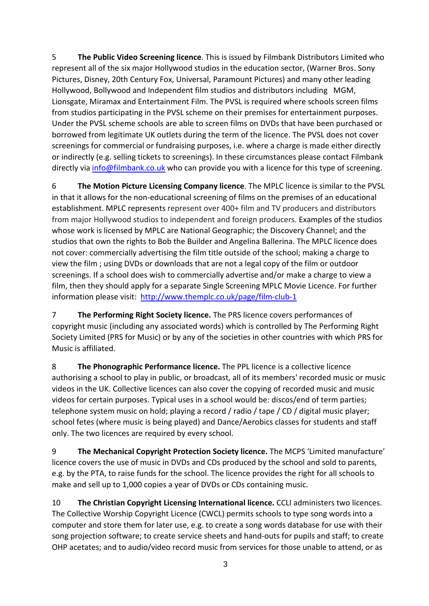5 **The Public Video Screening licence**. This is issued by Filmbank Distributors Limited who represent all of the six major Hollywood studios in the education sector, (Warner Bros. Sony Pictures, Disney, 20th Century Fox, Universal, Paramount Pictures) and many other leading Hollywood, Bollywood and Independent film studios and distributors including MGM, Lionsgate, Miramax and Entertainment Film. The PVSL is required where schools screen films from studios participating in the PVSL scheme on their premises for entertainment purposes. Under the PVSL scheme schools are able to screen films on DVDs that have been purchased or borrowed from legitimate UK outlets during the term of the licence. The PVSL does not cover screenings for commercial or fundraising purposes, i.e. where a charge is made either directly or indirectly (e.g. selling tickets to screenings). In these circumstances please contact Filmbank directly via [info@filmbank.co.uk](mailto:info@filmbank.co.uk) who can provide you with a licence for this type of screening.

6 **The Motion Picture Licensing Company licence**. The MPLC licence is similar to the PVSL in that it allows for the non-educational screening of films on the premises of an educational establishment. MPLC represents represent over 400+ film and TV producers and distributors from major Hollywood studios to independent and foreign producers. Examples of the studios whose work is licensed by MPLC are National Geographic; the Discovery Channel; and the studios that own the rights to Bob the Builder and Angelina Ballerina. The MPLC licence does not cover: commercially advertising the film title outside of the school; making a charge to view the film ; using DVDs or downloads that are not a legal copy of the film or outdoor screenings. If a school does wish to commercially advertise and/or make a charge to view a film, then they should apply for a separate Single Screening MPLC Movie Licence. For further information please visit: <http://www.themplc.co.uk/page/film-club-1>

7 **The Performing Right Society licence.** The PRS licence covers performances of copyright music (including any associated words) which is controlled by The Performing Right Society Limited (PRS for Music) or by any of the societies in other countries with which PRS for Music is affiliated.

8 **The Phonographic Performance licence.** The PPL licence is a collective licence authorising a school to play in public, or broadcast, all of its members' recorded music or music videos in the UK. Collective licences can also cover the copying of recorded music and music videos for certain purposes. Typical uses in a school would be: discos/end of term parties; telephone system music on hold; playing a record / radio / tape / CD / digital music player; school fetes (where music is being played) and Dance/Aerobics classes for students and staff only. The two licences are required by every school.

9 **The Mechanical Copyright Protection Society licence.** The MCPS 'Limited manufacture' licence covers the use of music in DVDs and CDs produced by the school and sold to parents, e.g. by the PTA, to raise funds for the school. The licence provides the right for all schools to make and sell up to 1,000 copies a year of DVDs or CDs containing music.

10 **The Christian Copyright Licensing International licence.** CCLI administers two licences. The Collective Worship Copyright Licence (CWCL) permits schools to type song words into a computer and store them for later use, e.g. to create a song words database for use with their song projection software; to create service sheets and hand-outs for pupils and staff; to create OHP acetates; and to audio/video record music from services for those unable to attend, or as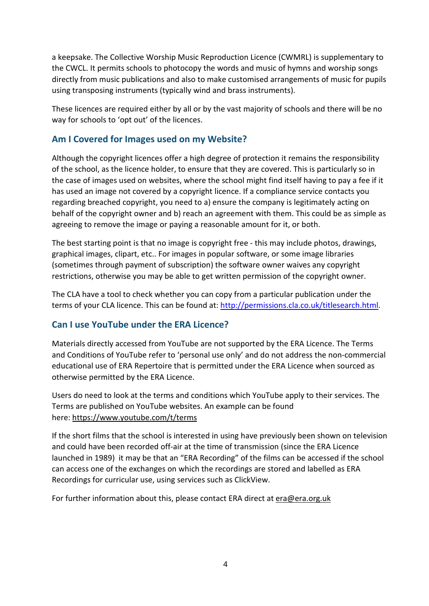a keepsake. The Collective Worship Music Reproduction Licence (CWMRL) is supplementary to the CWCL. It permits schools to photocopy the words and music of hymns and worship songs directly from music publications and also to make customised arrangements of music for pupils using transposing instruments (typically wind and brass instruments).

These licences are required either by all or by the vast majority of schools and there will be no way for schools to 'opt out' of the licences.

# **Am I Covered for Images used on my Website?**

Although the copyright licences offer a high degree of protection it remains the responsibility of the school, as the licence holder, to ensure that they are covered. This is particularly so in the case of images used on websites, where the school might find itself having to pay a fee if it has used an image not covered by a copyright licence. If a compliance service contacts you regarding breached copyright, you need to a) ensure the company is legitimately acting on behalf of the copyright owner and b) reach an agreement with them. This could be as simple as agreeing to remove the image or paying a reasonable amount for it, or both.

The best starting point is that no image is copyright free - this may include photos, drawings, graphical images, clipart, etc.. For images in popular software, or some image libraries (sometimes through payment of subscription) the software owner waives any copyright restrictions, otherwise you may be able to get written permission of the copyright owner.

The CLA have a tool to check whether you can copy from a particular publication under the terms of your CLA licence. This can be found at: [http://permissions.cla.co.uk/titlesearch.html.](http://permissions.cla.co.uk/titlesearch.html)

# **Can I use YouTube under the ERA Licence?**

Materials directly accessed from YouTube are not supported by the ERA Licence. The Terms and Conditions of YouTube refer to 'personal use only' and do not address the non-commercial educational use of ERA Repertoire that is permitted under the ERA Licence when sourced as otherwise permitted by the ERA Licence.

Users do need to look at the terms and conditions which YouTube apply to their services. The Terms are published on YouTube websites. An example can be found here:<https://www.youtube.com/t/terms>

If the short films that the school is interested in using have previously been shown on television and could have been recorded off-air at the time of transmission (since the ERA Licence launched in 1989) it may be that an "ERA Recording" of the films can be accessed if the school can access one of the exchanges on which the recordings are stored and labelled as ERA Recordings for curricular use, using services such as ClickView.

For further information about this, please contact ERA direct a[t era@era.org.uk](mailto:era@era.org.uk)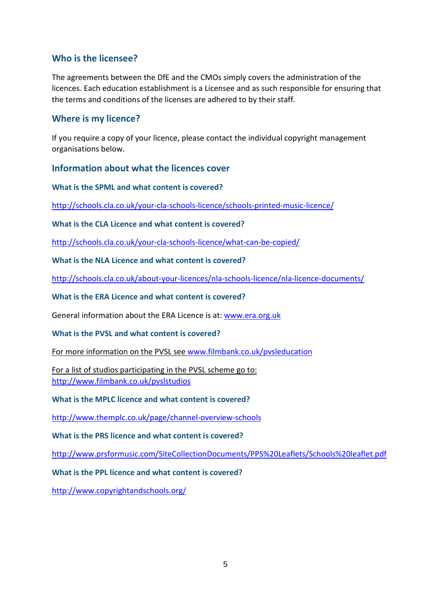## **Who is the licensee?**

The agreements between the DfE and the CMOs simply covers the administration of the licences. Each education establishment is a Licensee and as such responsible for ensuring that the terms and conditions of the licenses are adhered to by their staff.

### **Where is my licence?**

If you require a copy of your licence, please contact the individual copyright management organisations below.

#### **Information about what the licences cover**

**What is the SPML and what content is covered?** 

<http://schools.cla.co.uk/your-cla-schools-licence/schools-printed-music-licence/>

**What is the CLA Licence and what content is covered?**

<http://schools.cla.co.uk/your-cla-schools-licence/what-can-be-copied/>

**What is the NLA Licence and what content is covered?**

<http://schools.cla.co.uk/about-your-licences/nla-schools-licence/nla-licence-documents/>

**What is the ERA Licence and what content is covered?**

General information about the ERA Licence is at: [www.era.org.uk](http://www.era.org.uk/)

**What is the PVSL and what content is covered?**

For more information on the PVSL see [www.filmbank.co.uk/pvsleducation](http://www.filmbank.co.uk/pvsleducation)

For a list of studios participating in the PVSL scheme go to: <http://www.filmbank.co.uk/pvslstudios>

**What is the MPLC licence and what content is covered?**

<http://www.themplc.co.uk/page/channel-overview-schools>

**What is the PRS licence and what content is covered?**

<http://www.prsformusic.com/SiteCollectionDocuments/PPS%20Leaflets/Schools%20leaflet.pdf>

**What is the PPL licence and what content is covered?**

<http://www.copyrightandschools.org/>